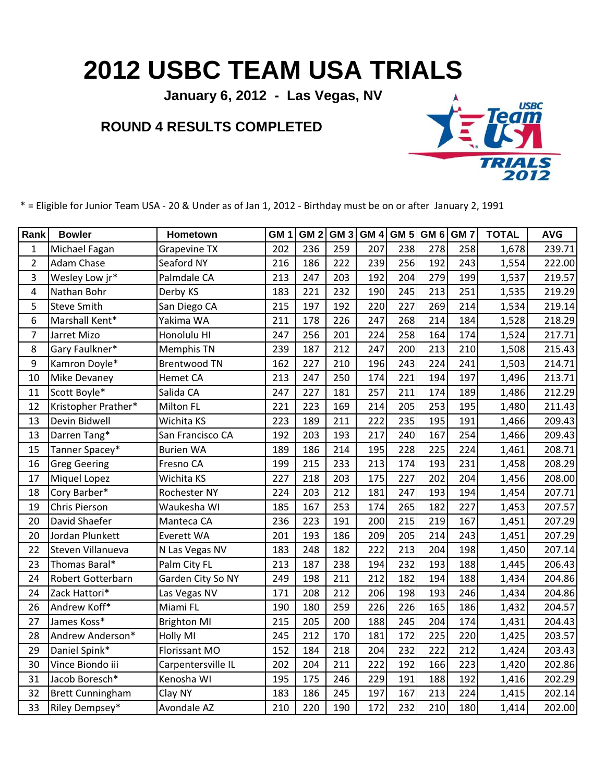## **2012 USBC TEAM USA TRIALS**

**January 6, 2012 - Las Vegas, NV**

## **ROUND 4 RESULTS COMPLETED**



\* = Eligible for Junior Team USA - 20 & Under as of Jan 1, 2012 - Birthday must be on or after January 2, 1991

| Rank           | <b>Bowler</b>            | Hometown            | GM <sub>1</sub> | GM <sub>2</sub> | GM <sub>3</sub> | <b>GM4</b> | <b>GM 5</b> | GM <sub>6</sub> | GM <sub>7</sub> | <b>TOTAL</b> | <b>AVG</b> |
|----------------|--------------------------|---------------------|-----------------|-----------------|-----------------|------------|-------------|-----------------|-----------------|--------------|------------|
| $\mathbf 1$    | Michael Fagan            | <b>Grapevine TX</b> | 202             | 236             | 259             | 207        | 238         | 278             | 258             | 1,678        | 239.71     |
| $\overline{2}$ | Adam Chase               | Seaford NY          | 216             | 186             | 222             | 239        | 256         | 192             | 243             | 1,554        | 222.00     |
| 3              | Wesley Low jr*           | Palmdale CA         | 213             | 247             | 203             | 192        | 204         | 279             | 199             | 1,537        | 219.57     |
| 4              | Nathan Bohr              | Derby KS            | 183             | 221             | 232             | 190        | 245         | 213             | 251             | 1,535        | 219.29     |
| 5              | <b>Steve Smith</b>       | San Diego CA        | 215             | 197             | 192             | 220        | 227         | 269             | 214             | 1,534        | 219.14     |
| 6              | Marshall Kent*           | Yakima WA           | 211             | 178             | 226             | 247        | 268         | 214             | 184             | 1,528        | 218.29     |
| 7              | Jarret Mizo              | Honolulu HI         | 247             | 256             | 201             | 224        | 258         | 164             | 174             | 1,524        | 217.71     |
| 8              | Gary Faulkner*           | Memphis TN          | 239             | 187             | 212             | 247        | 200         | 213             | 210             | 1,508        | 215.43     |
| 9              | Kamron Doyle*            | <b>Brentwood TN</b> | 162             | 227             | 210             | 196        | 243         | 224             | 241             | 1,503        | 214.71     |
| 10             | <b>Mike Devaney</b>      | Hemet CA            | 213             | 247             | 250             | 174        | 221         | 194             | 197             | 1,496        | 213.71     |
| 11             | Scott Boyle*             | Salida CA           | 247             | 227             | 181             | 257        | 211         | 174             | 189             | 1,486        | 212.29     |
| 12             | Kristopher Prather*      | Milton FL           | 221             | 223             | 169             | 214        | 205         | 253             | 195             | 1,480        | 211.43     |
| 13             | Devin Bidwell            | Wichita KS          | 223             | 189             | 211             | 222        | 235         | 195             | 191             | 1,466        | 209.43     |
| 13             | Darren Tang*             | San Francisco CA    | 192             | 203             | 193             | 217        | 240         | 167             | 254             | 1,466        | 209.43     |
| 15             | Tanner Spacey*           | <b>Burien WA</b>    | 189             | 186             | 214             | 195        | 228         | 225             | 224             | 1,461        | 208.71     |
| 16             | <b>Greg Geering</b>      | Fresno CA           | 199             | 215             | 233             | 213        | 174         | 193             | 231             | 1,458        | 208.29     |
| 17             | <b>Miquel Lopez</b>      | Wichita KS          | 227             | 218             | 203             | 175        | 227         | 202             | 204             | 1,456        | 208.00     |
| 18             | Cory Barber*             | Rochester NY        | 224             | 203             | 212             | 181        | 247         | 193             | 194             | 1,454        | 207.71     |
| 19             | Chris Pierson            | Waukesha WI         | 185             | 167             | 253             | 174        | 265         | 182             | 227             | 1,453        | 207.57     |
| 20             | David Shaefer            | Manteca CA          | 236             | 223             | 191             | 200        | 215         | 219             | 167             | 1,451        | 207.29     |
| 20             | Jordan Plunkett          | Everett WA          | 201             | 193             | 186             | 209        | 205         | 214             | 243             | 1,451        | 207.29     |
| 22             | Steven Villanueva        | N Las Vegas NV      | 183             | 248             | 182             | 222        | 213         | 204             | 198             | 1,450        | 207.14     |
| 23             | Thomas Baral*            | Palm City FL        | 213             | 187             | 238             | 194        | 232         | 193             | 188             | 1,445        | 206.43     |
| 24             | <b>Robert Gotterbarn</b> | Garden City So NY   | 249             | 198             | 211             | 212        | 182         | 194             | 188             | 1,434        | 204.86     |
| 24             | Zack Hattori*            | Las Vegas NV        | 171             | 208             | 212             | 206        | 198         | 193             | 246             | 1,434        | 204.86     |
| 26             | Andrew Koff*             | Miami FL            | 190             | 180             | 259             | 226        | 226         | 165             | 186             | 1,432        | 204.57     |
| 27             | James Koss*              | <b>Brighton MI</b>  | 215             | 205             | 200             | 188        | 245         | 204             | 174             | 1,431        | 204.43     |
| 28             | Andrew Anderson*         | Holly MI            | 245             | 212             | 170             | 181        | 172         | 225             | 220             | 1,425        | 203.57     |
| 29             | Daniel Spink*            | Florissant MO       | 152             | 184             | 218             | 204        | 232         | 222             | 212             | 1,424        | 203.43     |
| 30             | Vince Biondo iii         | Carpentersville IL  | 202             | 204             | 211             | 222        | 192         | 166             | 223             | 1,420        | 202.86     |
| 31             | Jacob Boresch*           | Kenosha WI          | 195             | 175             | 246             | 229        | 191         | 188             | 192             | 1,416        | 202.29     |
| 32             | <b>Brett Cunningham</b>  | Clay NY             | 183             | 186             | 245             | 197        | 167         | 213             | 224             | 1,415        | 202.14     |
| 33             | Riley Dempsey*           | Avondale AZ         | 210             | 220             | 190             | 172        | 232         | 210             | 180             | 1,414        | 202.00     |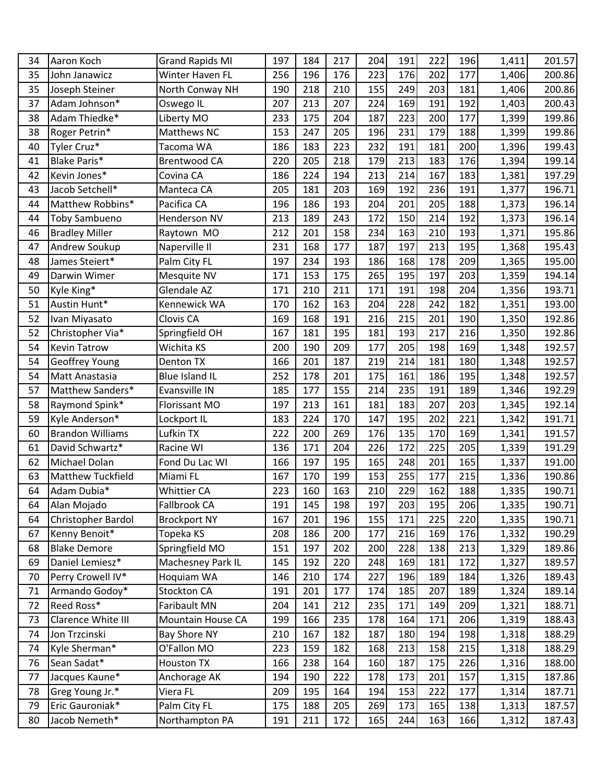| 34 | Aaron Koch              | <b>Grand Rapids MI</b>   | 197 | 184 | 217 | 204 | 191 | 222 | 196 | 1,411 | 201.57 |
|----|-------------------------|--------------------------|-----|-----|-----|-----|-----|-----|-----|-------|--------|
| 35 | John Janawicz           | Winter Haven FL          | 256 | 196 | 176 | 223 | 176 | 202 | 177 | 1,406 | 200.86 |
| 35 | Joseph Steiner          | North Conway NH          | 190 | 218 | 210 | 155 | 249 | 203 | 181 | 1,406 | 200.86 |
| 37 | Adam Johnson*           | Oswego IL                | 207 | 213 | 207 | 224 | 169 | 191 | 192 | 1,403 | 200.43 |
| 38 | Adam Thiedke*           | Liberty MO               | 233 | 175 | 204 | 187 | 223 | 200 | 177 | 1,399 | 199.86 |
| 38 | Roger Petrin*           | Matthews NC              | 153 | 247 | 205 | 196 | 231 | 179 | 188 | 1,399 | 199.86 |
| 40 | Tyler Cruz*             | Tacoma WA                | 186 | 183 | 223 | 232 | 191 | 181 | 200 | 1,396 | 199.43 |
| 41 | Blake Paris*            | <b>Brentwood CA</b>      | 220 | 205 | 218 | 179 | 213 | 183 | 176 | 1,394 | 199.14 |
| 42 | Kevin Jones*            | Covina CA                | 186 | 224 | 194 | 213 | 214 | 167 | 183 | 1,381 | 197.29 |
| 43 | Jacob Setchell*         | Manteca CA               | 205 | 181 | 203 | 169 | 192 | 236 | 191 | 1,377 | 196.71 |
| 44 | Matthew Robbins*        | Pacifica CA              | 196 | 186 | 193 | 204 | 201 | 205 | 188 | 1,373 | 196.14 |
| 44 | <b>Toby Sambueno</b>    | Henderson NV             | 213 | 189 | 243 | 172 | 150 | 214 | 192 | 1,373 | 196.14 |
| 46 | <b>Bradley Miller</b>   | Raytown MO               | 212 | 201 | 158 | 234 | 163 | 210 | 193 | 1,371 | 195.86 |
| 47 | Andrew Soukup           | Naperville II            | 231 | 168 | 177 | 187 | 197 | 213 | 195 | 1,368 | 195.43 |
| 48 | James Steiert*          | Palm City FL             | 197 | 234 | 193 | 186 | 168 | 178 | 209 | 1,365 | 195.00 |
| 49 | Darwin Wimer            | Mesquite NV              | 171 | 153 | 175 | 265 | 195 | 197 | 203 | 1,359 | 194.14 |
| 50 | Kyle King*              | Glendale AZ              | 171 | 210 | 211 | 171 | 191 | 198 | 204 | 1,356 | 193.71 |
| 51 | Austin Hunt*            | Kennewick WA             | 170 | 162 | 163 | 204 | 228 | 242 | 182 | 1,351 | 193.00 |
| 52 | Ivan Miyasato           | Clovis CA                | 169 | 168 | 191 | 216 | 215 | 201 | 190 | 1,350 | 192.86 |
| 52 | Christopher Via*        | Springfield OH           | 167 | 181 | 195 | 181 | 193 | 217 | 216 | 1,350 | 192.86 |
| 54 | <b>Kevin Tatrow</b>     | Wichita KS               | 200 | 190 | 209 | 177 | 205 | 198 | 169 | 1,348 | 192.57 |
| 54 | Geoffrey Young          | <b>Denton TX</b>         | 166 | 201 | 187 | 219 | 214 | 181 | 180 | 1,348 | 192.57 |
| 54 | Matt Anastasia          | Blue Island IL           | 252 | 178 | 201 | 175 | 161 | 186 | 195 | 1,348 | 192.57 |
| 57 | Matthew Sanders*        | Evansville IN            | 185 | 177 | 155 | 214 | 235 | 191 | 189 | 1,346 | 192.29 |
| 58 | Raymond Spink*          | Florissant MO            | 197 | 213 | 161 | 181 | 183 | 207 | 203 | 1,345 | 192.14 |
| 59 | Kyle Anderson*          | Lockport IL              | 183 | 224 | 170 | 147 | 195 | 202 | 221 | 1,342 | 191.71 |
| 60 | <b>Brandon Williams</b> | Lufkin TX                | 222 | 200 | 269 | 176 | 135 | 170 | 169 | 1,341 | 191.57 |
| 61 | David Schwartz*         | Racine WI                | 136 | 171 | 204 | 226 | 172 | 225 | 205 | 1,339 | 191.29 |
| 62 | Michael Dolan           | Fond Du Lac WI           | 166 | 197 | 195 | 165 | 248 | 201 | 165 | 1,337 | 191.00 |
| 63 | Matthew Tuckfield       | Miami FL                 | 167 | 170 | 199 | 153 | 255 | 177 | 215 | 1,336 | 190.86 |
| 64 | Adam Dubia*             | Whittier CA              | 223 | 160 | 163 | 210 | 229 | 162 | 188 | 1,335 | 190.71 |
| 64 | Alan Mojado             | Fallbrook CA             | 191 | 145 | 198 | 197 | 203 | 195 | 206 | 1,335 | 190.71 |
| 64 | Christopher Bardol      | <b>Brockport NY</b>      | 167 | 201 | 196 | 155 | 171 | 225 | 220 | 1,335 | 190.71 |
| 67 | Kenny Benoit*           | Topeka KS                | 208 | 186 | 200 | 177 | 216 | 169 | 176 | 1,332 | 190.29 |
| 68 | <b>Blake Demore</b>     | Springfield MO           | 151 | 197 | 202 | 200 | 228 | 138 | 213 | 1,329 | 189.86 |
| 69 | Daniel Lemiesz*         | Machesney Park IL        | 145 | 192 | 220 | 248 | 169 | 181 | 172 | 1,327 | 189.57 |
| 70 | Perry Crowell IV*       | Hoquiam WA               | 146 | 210 | 174 | 227 | 196 | 189 | 184 | 1,326 | 189.43 |
| 71 | Armando Godoy*          | Stockton CA              | 191 | 201 | 177 | 174 | 185 | 207 | 189 | 1,324 | 189.14 |
| 72 | Reed Ross*              | Faribault MN             | 204 | 141 | 212 | 235 | 171 | 149 | 209 | 1,321 | 188.71 |
| 73 | Clarence White III      | <b>Mountain House CA</b> | 199 | 166 | 235 | 178 | 164 | 171 | 206 | 1,319 | 188.43 |
| 74 | Jon Trzcinski           | Bay Shore NY             | 210 | 167 | 182 | 187 | 180 | 194 | 198 | 1,318 | 188.29 |
| 74 | Kyle Sherman*           | O'Fallon MO              | 223 | 159 | 182 | 168 | 213 | 158 | 215 | 1,318 | 188.29 |
| 76 | Sean Sadat*             | Houston TX               | 166 | 238 | 164 | 160 | 187 | 175 | 226 | 1,316 | 188.00 |
| 77 | Jacques Kaune*          | Anchorage AK             | 194 | 190 | 222 | 178 | 173 | 201 | 157 | 1,315 | 187.86 |
| 78 | Greg Young Jr.*         | Viera FL                 | 209 | 195 | 164 | 194 | 153 | 222 | 177 | 1,314 | 187.71 |
| 79 | Eric Gauroniak*         | Palm City FL             | 175 | 188 | 205 | 269 | 173 | 165 | 138 | 1,313 | 187.57 |
| 80 | Jacob Nemeth*           | Northampton PA           | 191 | 211 | 172 | 165 | 244 | 163 | 166 | 1,312 | 187.43 |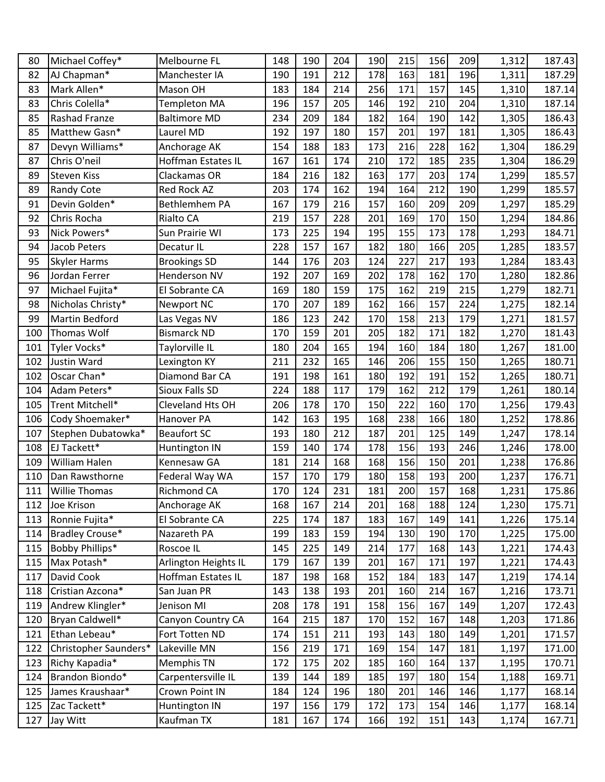| 80  | Michael Coffey*       | Melbourne FL              | 148 | 190 | 204 | 190 | 215 | 156 | 209 | 1,312 | 187.43 |
|-----|-----------------------|---------------------------|-----|-----|-----|-----|-----|-----|-----|-------|--------|
| 82  | AJ Chapman*           | Manchester IA             | 190 | 191 | 212 | 178 | 163 | 181 | 196 | 1,311 | 187.29 |
| 83  | Mark Allen*           | Mason OH                  | 183 | 184 | 214 | 256 | 171 | 157 | 145 | 1,310 | 187.14 |
| 83  | Chris Colella*        | <b>Templeton MA</b>       | 196 | 157 | 205 | 146 | 192 | 210 | 204 | 1,310 | 187.14 |
| 85  | <b>Rashad Franze</b>  | <b>Baltimore MD</b>       | 234 | 209 | 184 | 182 | 164 | 190 | 142 | 1,305 | 186.43 |
| 85  | Matthew Gasn*         | Laurel MD                 | 192 | 197 | 180 | 157 | 201 | 197 | 181 | 1,305 | 186.43 |
| 87  | Devyn Williams*       | Anchorage AK              | 154 | 188 | 183 | 173 | 216 | 228 | 162 | 1,304 | 186.29 |
| 87  | Chris O'neil          | <b>Hoffman Estates IL</b> | 167 | 161 | 174 | 210 | 172 | 185 | 235 | 1,304 | 186.29 |
| 89  | <b>Steven Kiss</b>    | Clackamas OR              | 184 | 216 | 182 | 163 | 177 | 203 | 174 | 1,299 | 185.57 |
| 89  | <b>Randy Cote</b>     | <b>Red Rock AZ</b>        | 203 | 174 | 162 | 194 | 164 | 212 | 190 | 1,299 | 185.57 |
| 91  | Devin Golden*         | Bethlemhem PA             | 167 | 179 | 216 | 157 | 160 | 209 | 209 | 1,297 | 185.29 |
| 92  | Chris Rocha           | Rialto CA                 | 219 | 157 | 228 | 201 | 169 | 170 | 150 | 1,294 | 184.86 |
| 93  | Nick Powers*          | Sun Prairie WI            | 173 | 225 | 194 | 195 | 155 | 173 | 178 | 1,293 | 184.71 |
| 94  | Jacob Peters          | Decatur IL                | 228 | 157 | 167 | 182 | 180 | 166 | 205 | 1,285 | 183.57 |
| 95  | <b>Skyler Harms</b>   | <b>Brookings SD</b>       | 144 | 176 | 203 | 124 | 227 | 217 | 193 | 1,284 | 183.43 |
| 96  | Jordan Ferrer         | <b>Henderson NV</b>       | 192 | 207 | 169 | 202 | 178 | 162 | 170 | 1,280 | 182.86 |
| 97  | Michael Fujita*       | El Sobrante CA            | 169 | 180 | 159 | 175 | 162 | 219 | 215 | 1,279 | 182.71 |
| 98  | Nicholas Christy*     | <b>Newport NC</b>         | 170 | 207 | 189 | 162 | 166 | 157 | 224 | 1,275 | 182.14 |
| 99  | Martin Bedford        | Las Vegas NV              | 186 | 123 | 242 | 170 | 158 | 213 | 179 | 1,271 | 181.57 |
| 100 | Thomas Wolf           | <b>Bismarck ND</b>        | 170 | 159 | 201 | 205 | 182 | 171 | 182 | 1,270 | 181.43 |
| 101 | Tyler Vocks*          | Taylorville IL            | 180 | 204 | 165 | 194 | 160 | 184 | 180 | 1,267 | 181.00 |
| 102 | Justin Ward           | Lexington KY              | 211 | 232 | 165 | 146 | 206 | 155 | 150 | 1,265 | 180.71 |
| 102 | Oscar Chan*           | Diamond Bar CA            | 191 | 198 | 161 | 180 | 192 | 191 | 152 | 1,265 | 180.71 |
| 104 | Adam Peters*          | Sioux Falls SD            | 224 | 188 | 117 | 179 | 162 | 212 | 179 | 1,261 | 180.14 |
| 105 | Trent Mitchell*       | Cleveland Hts OH          | 206 | 178 | 170 | 150 | 222 | 160 | 170 | 1,256 | 179.43 |
| 106 | Cody Shoemaker*       | Hanover PA                | 142 | 163 | 195 | 168 | 238 | 166 | 180 | 1,252 | 178.86 |
| 107 | Stephen Dubatowka*    | <b>Beaufort SC</b>        | 193 | 180 | 212 | 187 | 201 | 125 | 149 | 1,247 | 178.14 |
| 108 | EJ Tackett*           | Huntington IN             | 159 | 140 | 174 | 178 | 156 | 193 | 246 | 1,246 | 178.00 |
| 109 | <b>William Halen</b>  | Kennesaw GA               | 181 | 214 | 168 | 168 | 156 | 150 | 201 | 1,238 | 176.86 |
| 110 | Dan Rawsthorne        | Federal Way WA            | 157 | 170 | 179 | 180 | 158 | 193 | 200 | 1,237 | 176.71 |
| 111 | <b>Willie Thomas</b>  | Richmond CA               | 170 | 124 | 231 | 181 | 200 | 157 | 168 | 1,231 | 175.86 |
| 112 | Joe Krison            | Anchorage AK              | 168 | 167 | 214 | 201 | 168 | 188 | 124 | 1,230 | 175.71 |
| 113 | Ronnie Fujita*        | El Sobrante CA            | 225 | 174 | 187 | 183 | 167 | 149 | 141 | 1,226 | 175.14 |
| 114 | Bradley Crouse*       | Nazareth PA               | 199 | 183 | 159 | 194 | 130 | 190 | 170 | 1,225 | 175.00 |
| 115 | Bobby Phillips*       | Roscoe IL                 | 145 | 225 | 149 | 214 | 177 | 168 | 143 | 1,221 | 174.43 |
| 115 | Max Potash*           | Arlington Heights IL      | 179 | 167 | 139 | 201 | 167 | 171 | 197 | 1,221 | 174.43 |
| 117 | David Cook            | Hoffman Estates IL        | 187 | 198 | 168 | 152 | 184 | 183 | 147 | 1,219 | 174.14 |
| 118 | Cristian Azcona*      | San Juan PR               | 143 | 138 | 193 | 201 | 160 | 214 | 167 | 1,216 | 173.71 |
| 119 | Andrew Klingler*      | Jenison MI                | 208 | 178 | 191 | 158 | 156 | 167 | 149 | 1,207 | 172.43 |
| 120 | Bryan Caldwell*       | Canyon Country CA         | 164 | 215 | 187 | 170 | 152 | 167 | 148 | 1,203 | 171.86 |
| 121 | Ethan Lebeau*         | Fort Totten ND            | 174 | 151 | 211 | 193 | 143 | 180 | 149 | 1,201 | 171.57 |
| 122 | Christopher Saunders* | Lakeville MN              | 156 | 219 | 171 | 169 | 154 | 147 | 181 | 1,197 | 171.00 |
| 123 | Richy Kapadia*        | Memphis TN                | 172 | 175 | 202 | 185 | 160 | 164 | 137 | 1,195 | 170.71 |
| 124 | Brandon Biondo*       | Carpentersville IL        | 139 | 144 | 189 | 185 | 197 | 180 | 154 | 1,188 | 169.71 |
| 125 | James Kraushaar*      | Crown Point IN            | 184 | 124 | 196 | 180 | 201 | 146 | 146 | 1,177 | 168.14 |
| 125 | Zac Tackett*          | Huntington IN             | 197 | 156 | 179 | 172 | 173 | 154 | 146 | 1,177 | 168.14 |
| 127 | Jay Witt              | Kaufman TX                | 181 | 167 | 174 | 166 | 192 | 151 | 143 | 1,174 | 167.71 |